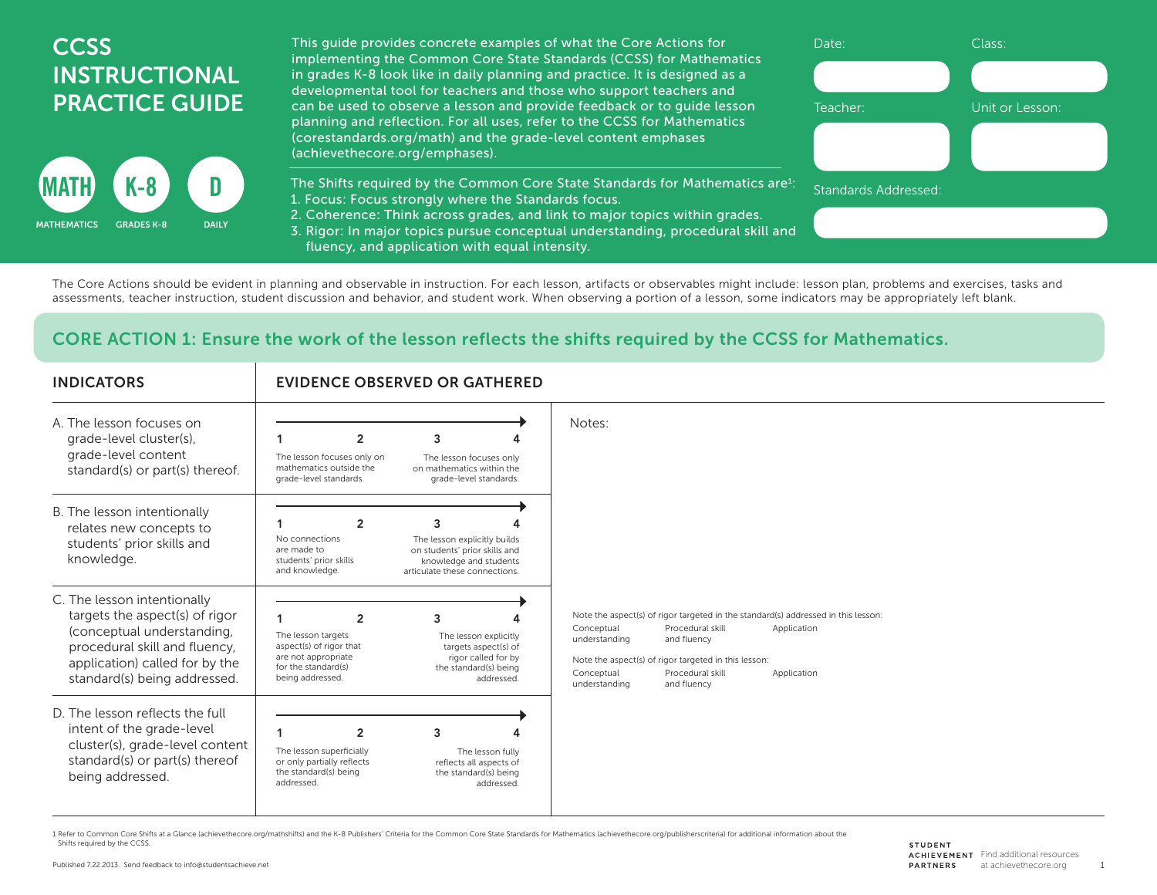## **CCSS** INSTRUCTIONAL PRACTICE GUIDE



This guide provides concrete examples of what the Core Actions for implementing the Common Core State Standards (CCSS) for Mathematics in grades K-8 look like in daily planning and practice. It is designed as a developmental tool for teachers and those who support teachers and can be used to observe a lesson and provide feedback or to guide lesson planning and reflection. For all uses, refer to the CCSS for Mathematics (corestandards.org/math) and the grade-level content emphases (achievethecore.org/emphases).

The Shifts required by the Common Core State Standards for Mathematics are $i$ : 1. Focus: Focus strongly where the Standards focus.

2. Coherence: Think across grades, and link to major topics within grades.

3. Rigor: In major topics pursue conceptual understanding, procedural skill and fluency, and application with equal intensity.

The Core Actions should be evident in planning and observable in instruction. For each lesson, artifacts or observables might include: lesson plan, problems and exercises, tasks and assessments, teacher instruction, student discussion and behavior, and student work. When observing a portion of a lesson, some indicators may be appropriately left blank.

## CORE ACTION 1: Ensure the work of the lesson reflects the shifts required by the CCSS for Mathematics.

| <b>INDICATORS</b>                                                                                                                                                                              | <b>EVIDENCE OBSERVED OR GATHERED</b>                                                                                                                                                                                                                  |                                                                                                                                                                                                                                                                                                             |  |
|------------------------------------------------------------------------------------------------------------------------------------------------------------------------------------------------|-------------------------------------------------------------------------------------------------------------------------------------------------------------------------------------------------------------------------------------------------------|-------------------------------------------------------------------------------------------------------------------------------------------------------------------------------------------------------------------------------------------------------------------------------------------------------------|--|
| A. The lesson focuses on<br>grade-level cluster(s),<br>grade-level content<br>standard(s) or part(s) thereof.                                                                                  | $\overline{2}$<br>3<br>The lesson focuses only on<br>The lesson focuses only<br>mathematics outside the<br>on mathematics within the<br>grade-level standards.<br>grade-level standards.                                                              | Notes:                                                                                                                                                                                                                                                                                                      |  |
| B. The lesson intentionally<br>relates new concepts to<br>students' prior skills and<br>knowledge.                                                                                             | $\overline{2}$<br>3<br>No connections<br>The lesson explicitly builds<br>are made to<br>on students' prior skills and<br>students' prior skills<br>knowledge and students<br>and knowledge.<br>articulate these connections.                          |                                                                                                                                                                                                                                                                                                             |  |
| C. The lesson intentionally<br>targets the aspect(s) of rigor<br>(conceptual understanding,<br>procedural skill and fluency,<br>application) called for by the<br>standard(s) being addressed. | $\overline{2}$<br>3<br>The lesson targets<br>The lesson explicitly<br>aspect(s) of rigor that<br>targets aspect(s) of<br>are not appropriate<br>rigor called for by<br>for the standard(s)<br>the standard(s) being<br>being addressed.<br>addressed. | Note the aspect(s) of rigor targeted in the standard(s) addressed in this lesson:<br>Procedural skill<br>Conceptual<br>Application<br>and fluency<br>understanding<br>Note the aspect(s) of rigor targeted in this lesson:<br>Conceptual<br>Procedural skill<br>Application<br>understanding<br>and fluency |  |
| D. The lesson reflects the full<br>intent of the grade-level<br>cluster(s), grade-level content<br>standard(s) or part(s) thereof<br>being addressed.                                          | $\overline{2}$<br>3<br>The lesson superficially<br>The lesson fully<br>or only partially reflects<br>reflects all aspects of<br>the standard(s) being<br>the standard(s) being<br>addressed.<br>addressed                                             |                                                                                                                                                                                                                                                                                                             |  |

1 Refer to Common Core Shifts at a Glance (achievethecore.org/mathshifts) and the K-8 Publishers' Criteria for the Common Core State Standards for Mathematics (achievethecore.org/publisherscriteria) for additional informat Shifts required by the CCSS.

Date: Class:

Standards Addressed:

Teacher: Unit or Lesson:

1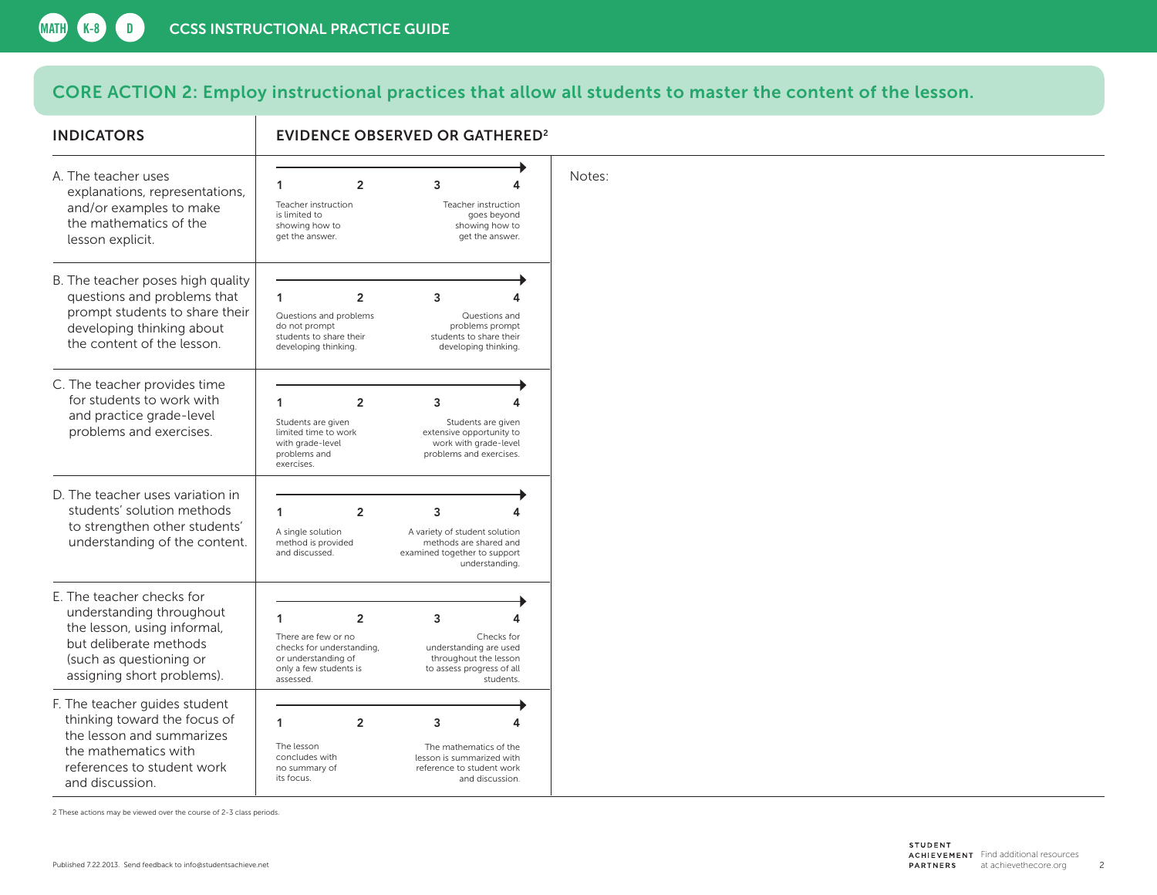## CORE ACTION 2: Employ instructional practices that allow all students to master the content of the lesson.

| <b>INDICATORS</b>                                                                                                                                                       | <b>EVIDENCE OBSERVED OR GATHERED<sup>2</sup></b>                                                                                           |                                                                                                           |  |
|-------------------------------------------------------------------------------------------------------------------------------------------------------------------------|--------------------------------------------------------------------------------------------------------------------------------------------|-----------------------------------------------------------------------------------------------------------|--|
| A. The teacher uses<br>explanations, representations,<br>and/or examples to make<br>the mathematics of the<br>lesson explicit.                                          | $\overline{2}$<br>3<br>1<br>Teacher instruction<br>is limited to<br>showing how to<br>get the answer.                                      | Notes:<br>4<br>Teacher instruction<br>goes beyond<br>showing how to<br>get the answer.                    |  |
| B. The teacher poses high quality<br>questions and problems that<br>prompt students to share their<br>developing thinking about<br>the content of the lesson.           | 1<br>$\overline{2}$<br>3<br>Questions and problems<br>do not prompt<br>students to share their<br>developing thinking.                     | 4<br>Questions and<br>problems prompt<br>students to share their<br>developing thinking.                  |  |
| C. The teacher provides time<br>for students to work with<br>and practice grade-level<br>problems and exercises.                                                        | 1<br>$\overline{2}$<br>3<br>Students are given<br>limited time to work<br>with grade-level<br>problems and<br>exercises.                   | Students are given<br>extensive opportunity to<br>work with grade-level<br>problems and exercises.        |  |
| D. The teacher uses variation in<br>students' solution methods<br>to strengthen other students'<br>understanding of the content.                                        | 1<br>$\overline{2}$<br>3<br>A single solution<br>method is provided<br>and discussed.                                                      | A variety of student solution<br>methods are shared and<br>examined together to support<br>understanding. |  |
| E. The teacher checks for<br>understanding throughout<br>the lesson, using informal,<br>but deliberate methods<br>(such as questioning or<br>assigning short problems). | 1<br>$\overline{2}$<br>3<br>There are few or no<br>checks for understanding,<br>or understanding of<br>only a few students is<br>assessed. | Checks for<br>understanding are used<br>throughout the lesson<br>to assess progress of all<br>students.   |  |
| F. The teacher guides student<br>thinking toward the focus of<br>the lesson and summarizes<br>the mathematics with<br>references to student work<br>and discussion.     | 1<br>$\overline{2}$<br>3<br>The lesson<br>concludes with<br>no summary of<br>its focus.                                                    | 4<br>The mathematics of the<br>lesson is summarized with<br>reference to student work<br>and discussion.  |  |

2 These actions may be viewed over the course of 2-3 class periods.